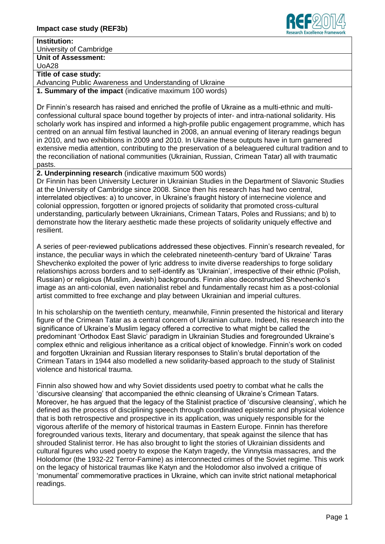

## **Institution:**

University of Cambridge

**Unit of Assessment:** UoA28

## **Title of case study:**

Advancing Public Awareness and Understanding of Ukraine

**1. Summary of the impact** (indicative maximum 100 words)

Dr Finnin's research has raised and enriched the profile of Ukraine as a multi-ethnic and multiconfessional cultural space bound together by projects of inter- and intra-national solidarity. His scholarly work has inspired and informed a high-profile public engagement programme, which has centred on an annual film festival launched in 2008, an annual evening of literary readings begun in 2010, and two exhibitions in 2009 and 2010. In Ukraine these outputs have in turn garnered extensive media attention, contributing to the preservation of a beleaguered cultural tradition and to the reconciliation of national communities (Ukrainian, Russian, Crimean Tatar) all with traumatic pasts.

**2. Underpinning research** (indicative maximum 500 words)

Dr Finnin has been University Lecturer in Ukrainian Studies in the Department of Slavonic Studies at the University of Cambridge since 2008. Since then his research has had two central, interrelated objectives: a) to uncover, in Ukraine's fraught history of internecine violence and colonial oppression, forgotten or ignored projects of solidarity that promoted cross-cultural understanding, particularly between Ukrainians, Crimean Tatars, Poles and Russians; and b) to demonstrate how the literary aesthetic made these projects of solidarity uniquely effective and resilient.

A series of peer-reviewed publications addressed these objectives. Finnin's research revealed, for instance, the peculiar ways in which the celebrated nineteenth-century 'bard of Ukraine' Taras Shevchenko exploited the power of lyric address to invite diverse readerships to forge solidary relationships across borders and to self-identify as 'Ukrainian', irrespective of their ethnic (Polish, Russian) or religious (Muslim, Jewish) backgrounds. Finnin also deconstructed Shevchenko's image as an anti-colonial, even nationalist rebel and fundamentally recast him as a post-colonial artist committed to free exchange and play between Ukrainian and imperial cultures.

In his scholarship on the twentieth century, meanwhile, Finnin presented the historical and literary figure of the Crimean Tatar as a central concern of Ukrainian culture. Indeed, his research into the significance of Ukraine's Muslim legacy offered a corrective to what might be called the predominant 'Orthodox East Slavic' paradigm in Ukrainian Studies and foregrounded Ukraine's complex ethnic and religious inheritance as a critical object of knowledge. Finnin's work on coded and forgotten Ukrainian and Russian literary responses to Stalin's brutal deportation of the Crimean Tatars in 1944 also modelled a new solidarity-based approach to the study of Stalinist violence and historical trauma.

Finnin also showed how and why Soviet dissidents used poetry to combat what he calls the 'discursive cleansing' that accompanied the ethnic cleansing of Ukraine's Crimean Tatars. Moreover, he has argued that the legacy of the Stalinist practice of 'discursive cleansing', which he defined as the process of disciplining speech through coordinated epistemic and physical violence that is both retrospective and prospective in its application, was uniquely responsible for the vigorous afterlife of the memory of historical traumas in Eastern Europe. Finnin has therefore foregrounded various texts, literary and documentary, that speak against the silence that has shrouded Stalinist terror. He has also brought to light the stories of Ukrainian dissidents and cultural figures who used poetry to expose the Katyn tragedy, the Vinnytsia massacres, and the Holodomor (the 1932-22 Terror-Famine) as interconnected crimes of the Soviet regime. This work on the legacy of historical traumas like Katyn and the Holodomor also involved a critique of 'monumental' commemorative practices in Ukraine, which can invite strict national metaphorical readings.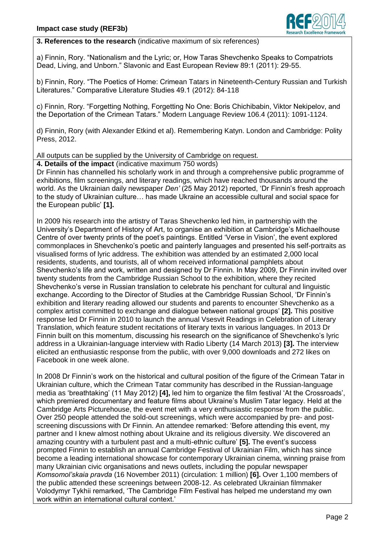

## **3. References to the research** (indicative maximum of six references)

a) Finnin, Rory. "Nationalism and the Lyric; or, How Taras Shevchenko Speaks to Compatriots Dead, Living, and Unborn." Slavonic and East European Review 89:1 (2011): 29-55.

b) Finnin, Rory. "The Poetics of Home: Crimean Tatars in Nineteenth-Century Russian and Turkish Literatures." Comparative Literature Studies 49.1 (2012): 84-118

c) Finnin, Rory. "Forgetting Nothing, Forgetting No One: Boris Chichibabin, Viktor Nekipelov, and the Deportation of the Crimean Tatars." Modern Language Review 106.4 (2011): 1091-1124.

d) Finnin, Rory (with Alexander Etkind et al). Remembering Katyn. London and Cambridge: Polity Press, 2012.

All outputs can be supplied by the University of Cambridge on request.

**4. Details of the impact** (indicative maximum 750 words)

Dr Finnin has channelled his scholarly work in and through a comprehensive public programme of exhibitions, film screenings, and literary readings, which have reached thousands around the world. As the Ukrainian daily newspaper *Den'* (25 May 2012) reported, 'Dr Finnin's fresh approach to the study of Ukrainian culture… has made Ukraine an accessible cultural and social space for the European public' **[1].**

In 2009 his research into the artistry of Taras Shevchenko led him, in partnership with the University's Department of History of Art, to organise an exhibition at Cambridge's Michaelhouse Centre of over twenty prints of the poet's paintings. Entitled 'Verse in Vision', the event explored commonplaces in Shevchenko's poetic and painterly languages and presented his self-portraits as visualised forms of lyric address. The exhibition was attended by an estimated 2,000 local residents, students, and tourists, all of whom received informational pamphlets about Shevchenko's life and work, written and designed by Dr Finnin. In May 2009, Dr Finnin invited over twenty students from the Cambridge Russian School to the exhibition, where they recited Shevchenko's verse in Russian translation to celebrate his penchant for cultural and linguistic exchange. According to the Director of Studies at the Cambridge Russian School, 'Dr Finnin's exhibition and literary reading allowed our students and parents to encounter Shevchenko as a complex artist committed to exchange and dialogue between national groups' **[2].** This positive response led Dr Finnin in 2010 to launch the annual Vsesvit Readings in Celebration of Literary Translation, which feature student recitations of literary texts in various languages. In 2013 Dr Finnin built on this momentum, discussing his research on the significance of Shevchenko's lyric address in a Ukrainian-language interview with Radio Liberty (14 March 2013) **[3].** The interview elicited an enthusiastic response from the public, with over 9,000 downloads and 272 likes on Facebook in one week alone.

In 2008 Dr Finnin's work on the historical and cultural position of the figure of the Crimean Tatar in Ukrainian culture, which the Crimean Tatar community has described in the Russian-language media as 'breathtaking' (11 May 2012) **[4],** led him to organize the film festival 'At the Crossroads', which premiered documentary and feature films about Ukraine's Muslim Tatar legacy. Held at the Cambridge Arts Picturehouse, the event met with a very enthusiastic response from the public. Over 250 people attended the sold-out screenings, which were accompanied by pre- and postscreening discussions with Dr Finnin. An attendee remarked: 'Before attending this event, my partner and I knew almost nothing about Ukraine and its religious diversity. We discovered an amazing country with a turbulent past and a multi-ethnic culture' **[5].** The event's success prompted Finnin to establish an annual Cambridge Festival of Ukrainian Film, which has since become a leading international showcase for contemporary Ukrainian cinema, winning praise from many Ukrainian civic organisations and news outlets, including the popular newspaper *Komsomol'skaia pravda* (16 November 2011) (circulation: 1 million) **[6].** Over 1,100 members of the public attended these screenings between 2008-12. As celebrated Ukrainian filmmaker Volodymyr Tykhii remarked, 'The Cambridge Film Festival has helped me understand my own work within an international cultural context.'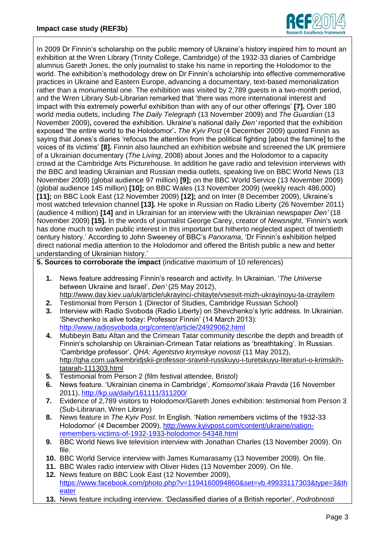

In 2009 Dr Finnin's scholarship on the public memory of Ukraine's history inspired him to mount an exhibition at the Wren Library (Trinity College, Cambridge) of the 1932-33 diaries of Cambridge alumnus Gareth Jones, the only journalist to stake his name in reporting the Holodomor to the world. The exhibition's methodology drew on Dr Finnin's scholarship into effective commemorative practices in Ukraine and Eastern Europe, advancing a documentary, text-based memorialization rather than a monumental one. The exhibition was visited by 2,789 guests in a two-month period, and the Wren Library Sub-Librarian remarked that 'there was more international interest and impact with this extremely powerful exhibition than with any of our other offerings' **[7].** Over 180 world media outlets, including *The Daily Telegraph* (13 November 2009) and *The Guardian* (13 November 2009)**,** covered the exhibition. Ukraine's national daily *Den'* reported that the exhibition exposed 'the entire world to the Holodomor'**.** *The Kyiv Post* (4 December 2009) quoted Finnin as saying that Jones's diaries 'refocus the attention from the political fighting [about the famine] to the voices of its victims' **[8].** Finnin also launched an exhibition website and screened the UK premiere of a Ukrainian documentary (*The Living*, 2008) about Jones and the Holodomor to a capacity crowd at the Cambridge Arts Picturehouse. In addition he gave radio and television interviews with the BBC and leading Ukrainian and Russian media outlets, speaking live on BBC World News (13 November 2009) (global audience 97 million) **[9];** on the BBC World Service (13 November 2009) (global audience 145 million) **[10];** on BBC Wales (13 November 2009) (weekly reach 486,000) **[11];** on BBC Look East (12 November 2009) **[12];** and on Inter (8 December 2009), Ukraine's most watched television channel **[13].** He spoke in Russian on Radio Liberty (26 November 2011) (audience 4 million) **[14]** and in Ukrainian for an interview with the Ukrainian newspaper *Den'* (18 November 2009) **[15].** In the words of journalist George Carey, creator of *Newsnight*, 'Finnin's work has done much to widen public interest in this important but hitherto neglected aspect of twentieth century history.' According to John Sweeney of BBC's *Panorama*, 'Dr Finnin's exhibition helped direct national media attention to the Holodomor and offered the British public a new and better understanding of Ukrainian history.'

**5. Sources to corroborate the impact** (indicative maximum of 10 references)

- **1.** News feature addressing Finnin's research and activity. In Ukrainian. '*The Universe*  between Ukraine and Israel', *Den'* (25 May 2012), <http://www.day.kiev.ua/uk/article/ukrayinci-chitayte/vsesvit-mizh-ukrayinoyu-ta-izrayilem>
- **2.** Testimonial from Person 1 (Director of Studies, Cambridge Russian School)
- **3.** Interview with Radio Svoboda (Radio Liberty) on Shevchenko's lyric address. In Ukrainian. 'Shevchenko is alive today: Professor Finnin' (14 March 2013): <http://www.radiosvoboda.org/content/article/24929062.html>
- **4.** Mubbeyin Batu Altan and the Crimean Tatar community describe the depth and breadth of Finnin's scholarship on Ukrainian-Crimean Tatar relations as 'breathtaking'. In Russian. 'Cambridge professor', *QHA: Agentstvo krymskye novosti* (11 May 2012), [http://qha.com.ua/kembridjskii-professor-sravnil-russkuyu-i-turetskuyu-literaturi-o-krimskih](http://qha.com.ua/kembridjskii-professor-sravnil-russkuyu-i-turetskuyu-literaturi-o-krimskih-tatarah-111303.html)[tatarah-111303.html](http://qha.com.ua/kembridjskii-professor-sravnil-russkuyu-i-turetskuyu-literaturi-o-krimskih-tatarah-111303.html)
- **5.** Testimonial from Person 2 (film festival attendee, Bristol)
- **6.** News feature. 'Ukrainian cinema in Cambridge', *Komsomol'skaia Pravda* (16 November 2011),<http://kp.ua/daily/161111/311200/>
- **7.** Evidence of 2,789 visitors to Holodomor/Gareth Jones exhibition: testimonial from Person 3 (Sub-Librarian, Wren Library)
- **8.** News feature in *The Kyiv Post*. In English. 'Nation remembers victims of the 1932-33 Holodomor' (4 December 2009), [http://www.kyivpost.com/content/ukraine/nation](http://www.kyivpost.com/content/ukraine/nation-remembers-victims-of-1932-1933-holodomor-54348.html)[remembers-victims-of-1932-1933-holodomor-54348.html](http://www.kyivpost.com/content/ukraine/nation-remembers-victims-of-1932-1933-holodomor-54348.html)
- **9.** BBC World News live television interview with Jonathan Charles (13 November 2009). On file.
- **10.** BBC World Service interview with James Kumarasamy (13 November 2009). On file.
- **11.** BBC Wales radio interview with Oliver Hides (13 November 2009). On file. **12.** News feature on BBC Look East (12 November 2009),
- [https://www.facebook.com/photo.php?v=1194160094860&set=vb.49933117303&type=3&th](https://www.facebook.com/photo.php?v=1194160094860&set=vb.49933117303&type=3&theater) [eater](https://www.facebook.com/photo.php?v=1194160094860&set=vb.49933117303&type=3&theater)
- **13.** News feature including interview. 'Declassified diaries of a British reporter', *Podrobnosti*